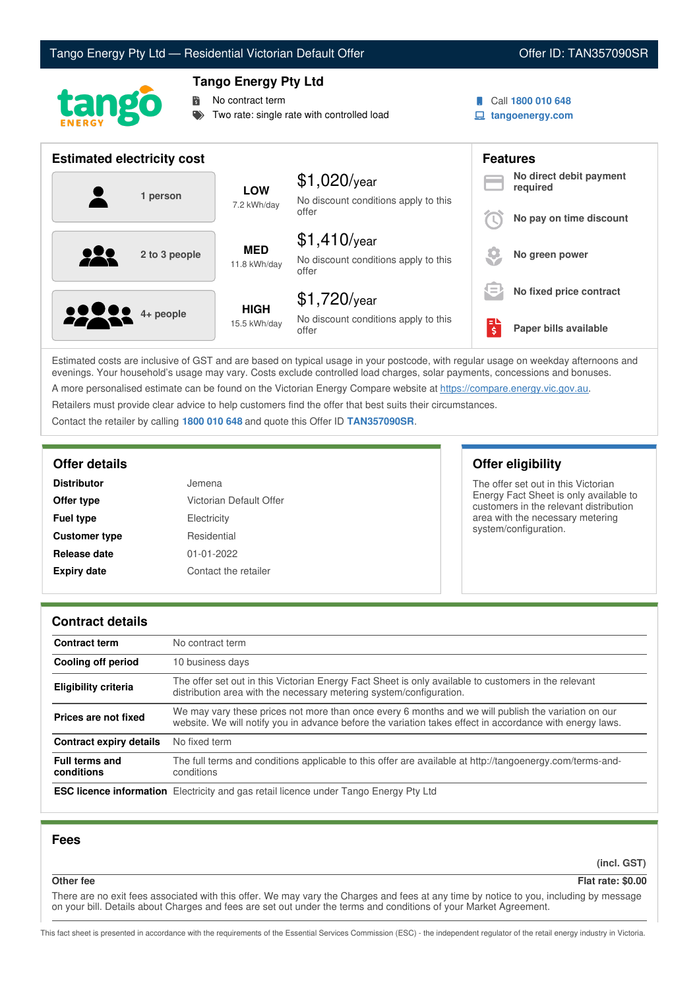# Tango Energy Pty Ltd — Residential Victorian Default Offer **Communist Communist Communist Communist Communist Communist Communist Communist Communist Communist Communist Communist Communist Communist Communist Communist Co**



## **Tango Energy Pty Ltd**

No contract term

Two rate: single rate with controlled load

- 
- Call **1800 010 648**
- **tangoenergy.com**

| <b>Estimated electricity cost</b> |                             |                                                                 |                         | <b>Features</b>                     |  |
|-----------------------------------|-----------------------------|-----------------------------------------------------------------|-------------------------|-------------------------------------|--|
| 1 person                          | <b>LOW</b><br>7.2 kWh/day   | $$1,020$ /year<br>No discount conditions apply to this          |                         | No direct debit payment<br>required |  |
|                                   |                             | offer                                                           |                         | No pay on time discount             |  |
| <u>929</u><br>2 to 3 people       | <b>MED</b><br>11.8 kWh/day  | $$1,410$ /year<br>No discount conditions apply to this<br>offer |                         | No green power                      |  |
|                                   |                             | $$1,720$ /year                                                  | $=$                     | No fixed price contract             |  |
| <b>2200</b> 4+ people             | <b>HIGH</b><br>15.5 kWh/day | No discount conditions apply to this<br>offer                   | $\overline{\mathsf{S}}$ | Paper bills available               |  |

Estimated costs are inclusive of GST and are based on typical usage in your postcode, with regular usage on weekday afternoons and evenings. Your household's usage may vary. Costs exclude controlled load charges, solar payments, concessions and bonuses. A more personalised estimate can be found on the Victorian Energy Compare website at <https://compare.energy.vic.gov.au>.

Retailers must provide clear advice to help customers find the offer that best suits their circumstances.

Contact the retailer by calling **1800 010 648** and quote this Offer ID **TAN357090SR**.

| <b>Distributor</b>   | Jemena                  |
|----------------------|-------------------------|
| Offer type           | Victorian Default Offer |
| <b>Fuel type</b>     | Electricity             |
| <b>Customer type</b> | Residential             |
| Release date         | $01 - 01 - 2022$        |
| <b>Expiry date</b>   | Contact the retailer    |

## **Offer details Offer eligibility**

The offer set out in this Victorian Energy Fact Sheet is only available to customers in the relevant distribution area with the necessary metering system/configuration.

## **Contract details**

| <b>Contract term</b>                | No contract term                                                                                                                                                                                                |  |
|-------------------------------------|-----------------------------------------------------------------------------------------------------------------------------------------------------------------------------------------------------------------|--|
| <b>Cooling off period</b>           | 10 business days                                                                                                                                                                                                |  |
| Eligibility criteria                | The offer set out in this Victorian Energy Fact Sheet is only available to customers in the relevant<br>distribution area with the necessary metering system/configuration.                                     |  |
| Prices are not fixed                | We may vary these prices not more than once every 6 months and we will publish the variation on our<br>website. We will notify you in advance before the variation takes effect in accordance with energy laws. |  |
| <b>Contract expiry details</b>      | No fixed term                                                                                                                                                                                                   |  |
| <b>Full terms and</b><br>conditions | The full terms and conditions applicable to this offer are available at http://tangoenergy.com/terms-and-<br>conditions                                                                                         |  |
|                                     | <b>ESC licence information</b> Electricity and gas retail licence under Tango Energy Pty Ltd                                                                                                                    |  |

## **Fees**

**(incl. GST)**

**Other fee Flat rate: \$0.00**

There are no exit fees associated with this offer. We may vary the Charges and fees at any time by notice to you, including by message on your bill. Details about Charges and fees are set out under the terms and conditions of your Market Agreement.

This fact sheet is presented in accordance with the requirements of the Essential Services Commission (ESC) - the independent regulator of the retail energy industry in Victoria.